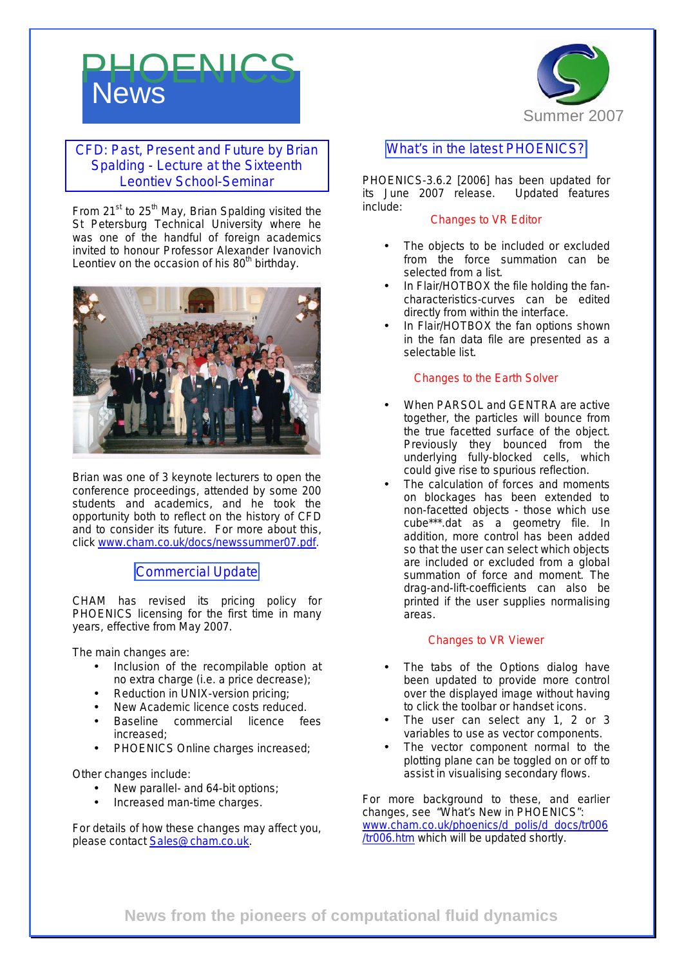# **News** PHOENICS



#### CFD: Past, Present and Future by Brian Spalding - Lecture at the Sixteenth Leontiev School-Seminar

From  $21^{st}$  to  $25^{th}$  May, Brian Spalding visited the St Petersburg Technical University where he was one of the handful of foreign academics invited to honour Professor Alexander Ivanovich Leontiev on the occasion of his  $80<sup>th</sup>$  birthday.



Brian was one of 3 keynote lecturers to open the conference proceedings, attended by some 200 students and academics, and he took the opportunity both to reflect on the history of CFD and to consider its future.For more about this, click [www.cham.co.uk/docs/newssummer07.pdf](http://www.cham.co.uk/docs/newssummer07.pdf).

Commercial Update

CHAM has revised its pricing policy for PHOENICS licensing for the first time in many years, effective from May 2007.

The main changes are:

- Inclusion of the recompilable option at no extra charge (i.e. a price decrease);
- Reduction in UNIX-version pricing;
- New Academic licence costs reduced.
- Baseline commercial licence fees increased;
- PHOENICS Online charges increased;

Other changes include:

- New parallel- and 64-bit options;
- Increased man-time charges.

For details of how these changes may affect you, please contact [Sales@cham.co.uk.](mailto:Sales@cham.co.uk)

### What's in the latest PHOENICS?

PHOENICS-3.6.2 [2006] has been updated for its June 2007 release. Updated features include:

#### Changes to VR Editor

- The objects to be included or excluded from the force summation can be selected from a list.
- In Flair/HOTBOX the file holding the fancharacteristics-curves can be edited directly from within the interface.
- In Flair/HOTBOX the fan options shown in the fan data file are presented as a selectable list.

#### Changes to the Earth Solver

- When PARSOL and GENTRA are active together, the particles will bounce from the true facetted surface of the object. Previously they bounced from the underlying fully-blocked cells, which could give rise to spurious reflection.
- The calculation of forces and moments on blockages has been extended to non-facetted objects - those which use cube\*\*\*.dat as a geometry file. In addition, more control has been added so that the user can select which objects are included or excluded from a global summation of force and moment. The drag-and-lift-coefficients can also be printed if the user supplies normalising areas.

#### Changes to VR Viewer

- The tabs of the Options dialog have been updated to provide more control over the displayed image without having to click the toolbar or handset icons.
- The user can select any 1, 2 or 3 variables to use as vector components.
- The vector component normal to the plotting plane can be toggled on or off to assist in visualising secondary flows.

For more background to these, and earlier changes, see "What's New in PHOENICS": [www.cham.co.uk/phoenics/d\\_polis/d\\_docs/tr006](http://www.cham.co.uk/phoenics/d_polis/d_docs/tr006) /tr006.htm which will be updated shortly.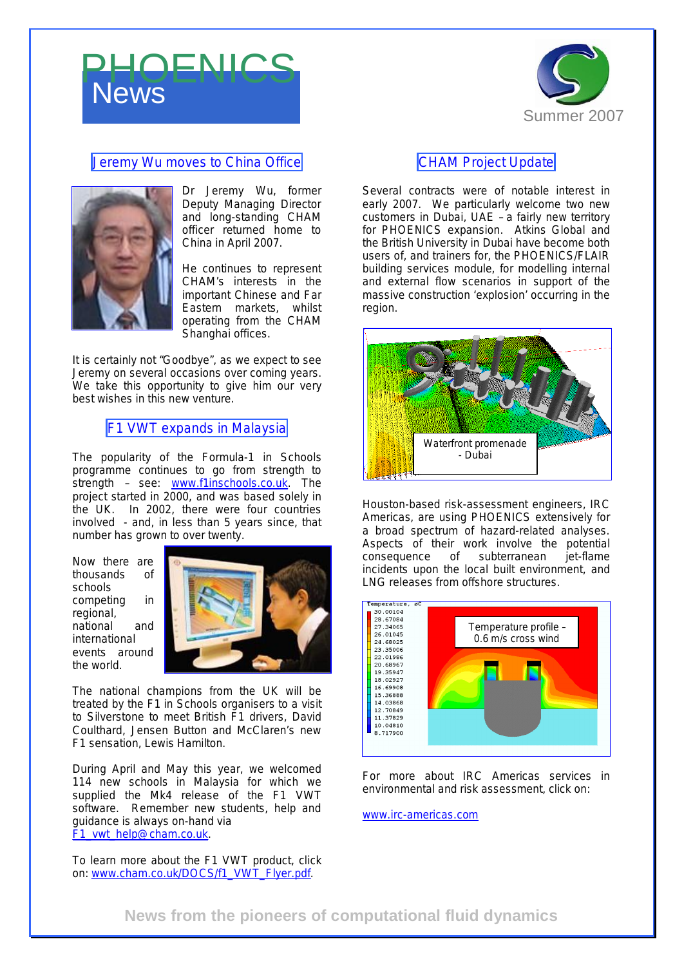# **News** PHOENICS



## Jeremy Wu moves to China Office



Dr Jeremy Wu, former Deputy Managing Director and long-standing CHAM officer returned home to China in April 2007.

He continues to represent CHAM's interests in the important Chinese and Far Eastern markets, whilst operating from the CHAM Shanghai offices.

It is certainly not "Goodbye", as we expect to see Jeremy on several occasions over coming years. We take this opportunity to give him our very best wishes in this new venture.

### F1 VWT expands in Malaysia

The popularity of the Formula-1 in Schools programme continues to go from strength to strength - see: [www.f1inschools.co.uk.](http://www.f1inschools.co.uk) The project started in 2000, and was based solely in the UK. In 2002, there were four countries involved - and, in less than 5 years since, that number has grown to over twenty.

Now there are thousands of schools competing in regional, national and international events around the world.



The national champions from the UK will be treated by the F1 in Schools organisers to a visit to Silverstone to meet British F1 drivers, David Coulthard, Jensen Button and McClaren's new F1 sensation, Lewis Hamilton.

During April and May this year, we welcomed 114 new schools in Malaysia for which we supplied the Mk4 release of the F1 VWT software. Remember new students, help and guidance is always on-hand via [F1\\_vwt\\_help@cham.co.uk](mailto:F1_vwt_help@cham.co.uk).

To learn more about the F1 VWT product, click on: [www.cham.co.uk/DOCS/f1\\_VWT\\_Flyer.pdf](http://www.cham.co.uk/DOCS/f1_VWT_Flyer.pdf).

#### CHAM Project Update

Several contracts were of notable interest in early 2007. We particularly welcome two new customers in Dubai, UAE – a fairly new territory for PHOENICS expansion. Atkins Global and the British University in Dubai have become both users of, and trainers for, the PHOENICS/FLAIR building services module, for modelling internal and external flow scenarios in support of the massive construction 'explosion' occurring in the region.



Houston-based risk-assessment engineers, IRC Americas, are using PHOENICS extensively for a broad spectrum of hazard-related analyses. Aspects of their work involve the potential consequence of subterranean jet-flame incidents upon the local built environment, and LNG releases from offshore structures.



For more about IRC Americas services in environmental and risk assessment, click on:

[www.irc-americas.com](http://www.irc-americas.com)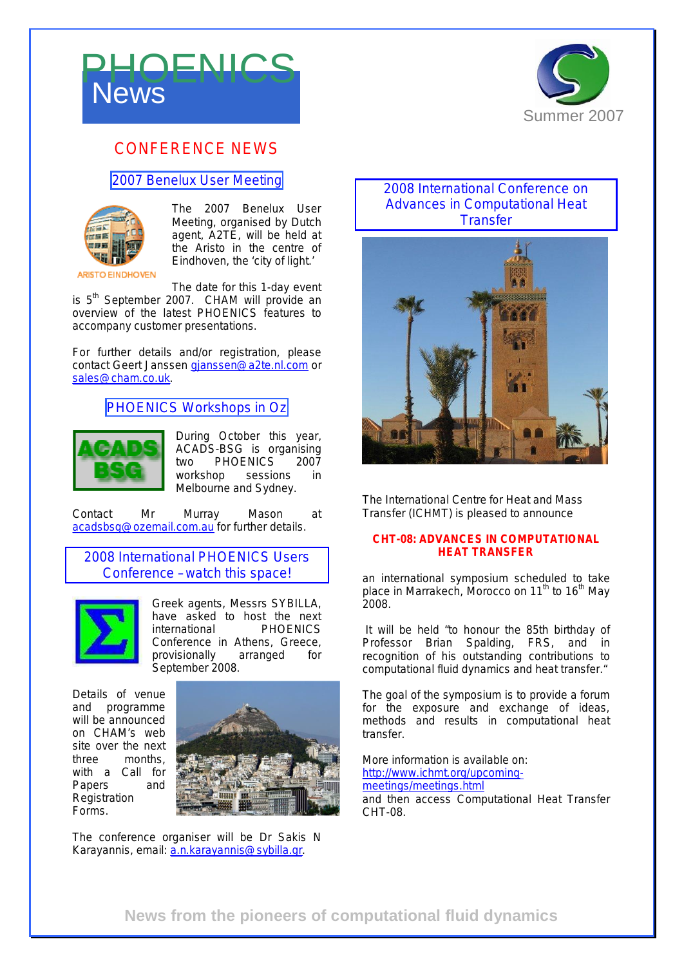



## CONFERENCE NEWS

#### 2007 Benelux User Meeting



The 2007 Benelux User Meeting, organised by Dutch agent, A2TE, will be held at the Aristo in the centre of Eindhoven, the 'city of light.'

The date for this 1-day event

is  $5<sup>th</sup>$  September 2007. CHAM will provide an overview of the latest PHOENICS features to accompany customer presentations.

For further details and/or registration, please contact Geert Janssen [gjanssen@a2te.nl.com](mailto:gjanssen@a2te.nl.com) or [sales@cham.co.uk.](mailto:sales@cham.co.uk)

## PHOENICS Workshops in Oz



During October this year, ACADS-BSG is organising two PHOENICS 2007 workshop sessions in Melbourne and Sydney.

Contact Mr Murray Mason at [acadsbsg@ozemail.com.au](mailto:acadsbsg@ozemail.com.au) for further details.

2008 International PHOENICS Users Conference – watch this space!



Greek agents, Messrs SYBILLA, have asked to host the next international PHOENICS Conference in Athens, Greece, *provisionally* arranged for September 2008.

Details of venue and programme will be announced on CHAM's web site over the next three months, with a Call for Papers and **Registration** Forms.



The conference organiser will be Dr Sakis N Karayannis, email: [a.n.karayannis@sybilla.gr](mailto:a.n.karayannis@sybilla.gr).

#### 2008 International Conference on Advances in Computational Heat **Transfer**



The International Centre for Heat and Mass Transfer (ICHMT) is pleased to announce

#### **CHT-08: ADVANCES IN COMPUTATIONAL HEAT TRANSFER**

an international symposium scheduled to take place in Marrakech, Morocco on 11<sup>th</sup> to 16<sup>th</sup> May 2008.

It will be held "to honour the 85th birthday of Professor Brian Spalding, FRS, and in recognition of his outstanding contributions to computational fluid dynamics and heat transfer."

The goal of the symposium is to provide a forum for the exposure and exchange of ideas, methods and results in computational heat transfer.

More information is available on: <http://www.ichmt.org/upcoming>meetings/meetings.html and then access Computational Heat Transfer CHT-08.